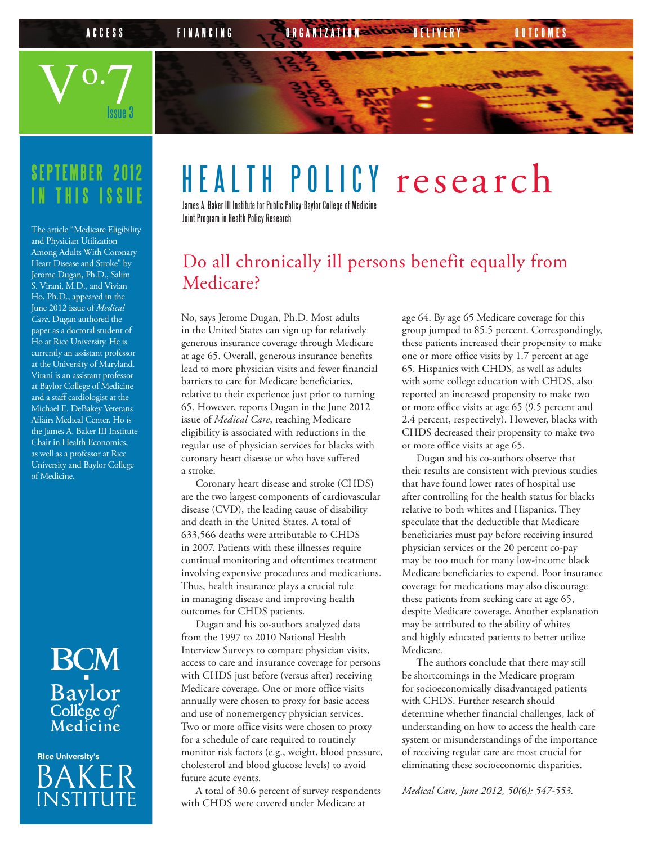

### **SEPTEMBER 2012 IN THIS ISSUE**

The article "Medicare Eligibility and Physician Utilization Among Adults With Coronary Heart Disease and Stroke" by Jerome Dugan, Ph.D., Salim S. Virani, M.D., and Vivian Ho, Ph.D., appeared in the June 2012 issue of *Medical Care*. Dugan authored the paper as a doctoral student of Ho at Rice University. He is currently an assistant professor at the University of Maryland. Virani is an assistant professor at Baylor College of Medicine and a staff cardiologist at the Michael E. DeBakey Veterans Affairs Medical Center. Ho is the James A. Baker III Institute Chair in Health Economics, as well as a professor at Rice University and Baylor College of Medicine.

# **BCM** Baylor<br>College of<br>Medicine

**Rice University's** BAKE **INSTITUTE** 

## HEALTH POLICY research

James A. Baker III Institute for Public Policy-Baylor College of Medicine Joint Program in Health Policy Research

#### Do all chronically ill persons benefit equally from Medicare?

No, says Jerome Dugan, Ph.D. Most adults in the United States can sign up for relatively generous insurance coverage through Medicare at age 65. Overall, generous insurance benefits lead to more physician visits and fewer financial barriers to care for Medicare beneficiaries, relative to their experience just prior to turning 65. However, reports Dugan in the June 2012 issue of *Medical Care*, reaching Medicare eligibility is associated with reductions in the regular use of physician services for blacks with coronary heart disease or who have suffered a stroke.

Coronary heart disease and stroke (CHDS) are the two largest components of cardiovascular disease (CVD), the leading cause of disability and death in the United States. A total of 633,566 deaths were attributable to CHDS in 2007. Patients with these illnesses require continual monitoring and oftentimes treatment involving expensive procedures and medications. Thus, health insurance plays a crucial role in managing disease and improving health outcomes for CHDS patients.

Dugan and his co-authors analyzed data from the 1997 to 2010 National Health Interview Surveys to compare physician visits, access to care and insurance coverage for persons with CHDS just before (versus after) receiving Medicare coverage. One or more office visits annually were chosen to proxy for basic access and use of nonemergency physician services. Two or more office visits were chosen to proxy for a schedule of care required to routinely monitor risk factors (e.g., weight, blood pressure, cholesterol and blood glucose levels) to avoid future acute events.

A total of 30.6 percent of survey respondents with CHDS were covered under Medicare at

age 64. By age 65 Medicare coverage for this group jumped to 85.5 percent. Correspondingly, these patients increased their propensity to make one or more office visits by 1.7 percent at age 65. Hispanics with CHDS, as well as adults with some college education with CHDS, also reported an increased propensity to make two or more office visits at age 65 (9.5 percent and 2.4 percent, respectively). However, blacks with CHDS decreased their propensity to make two or more office visits at age 65.

Dugan and his co-authors observe that their results are consistent with previous studies that have found lower rates of hospital use after controlling for the health status for blacks relative to both whites and Hispanics. They speculate that the deductible that Medicare beneficiaries must pay before receiving insured physician services or the 20 percent co-pay may be too much for many low-income black Medicare beneficiaries to expend. Poor insurance coverage for medications may also discourage these patients from seeking care at age 65, despite Medicare coverage. Another explanation may be attributed to the ability of whites and highly educated patients to better utilize Medicare.

The authors conclude that there may still be shortcomings in the Medicare program for socioeconomically disadvantaged patients with CHDS. Further research should determine whether financial challenges, lack of understanding on how to access the health care system or misunderstandings of the importance of receiving regular care are most crucial for eliminating these socioeconomic disparities.

*Medical Care, June 2012, 50(6): 547-553.*